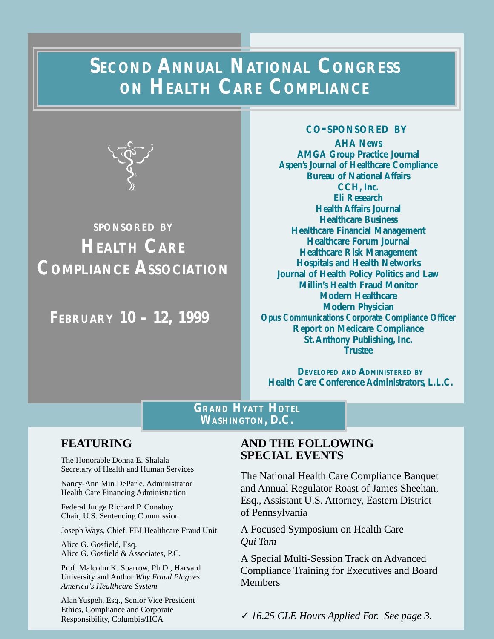# **SECOND ANNUAL NATIONAL CONGRESS ON HEALTH CARE COMPLIANCE**



# **SPONSORED BY HEALTH CARE COMPLIANCE ASSOCIATION**

**FEBRUARY 10 – 12, 1999**

### **CO-SPONSORED BY**

**AHA News AMGA Group Practice Journal Aspen's Journal of Healthcare Compliance Bureau of National Affairs CCH, Inc. Eli Research Health Affairs Journal Healthcare Business Healthcare Financial Management Healthcare Forum Journal Healthcare Risk Management Hospitals and Health Networks Journal of Health Policy Politics and Law Millin's Health Fraud Monitor Modern Healthcare Modern Physician Opus Communications Corporate Compliance Officer Report on Medicare Compliance St. Anthony Publishing, Inc. Trustee**

**DEVELOPED AND ADMINISTERED BY Health Care Conference Administrators, L.L.C.**

## **GRAND HYATT HOTEL WASHINGTON, D.C.**

## **FEATURING**

The Honorable Donna E. Shalala Secretary of Health and Human Services

Nancy-Ann Min DeParle, Administrator Health Care Financing Administration

Federal Judge Richard P. Conaboy Chair, U.S. Sentencing Commission

Joseph Ways, Chief, FBI Healthcare Fraud Unit

Alice G. Gosfield, Esq. Alice G. Gosfield & Associates, P.C.

Prof. Malcolm K. Sparrow, Ph.D., Harvard University and Author *Why Fraud Plagues America's Healthcare System*

Alan Yuspeh, Esq., Senior Vice President Ethics, Compliance and Corporate Responsibility, Columbia/HCA

## **AND THE FOLLOWING SPECIAL EVENTS**

The National Health Care Compliance Banquet and Annual Regulator Roast of James Sheehan, Esq., Assistant U.S. Attorney, Eastern District of Pennsylvania

A Focused Symposium on Health Care *Qui Tam*

A Special Multi-Session Track on Advanced Compliance Training for Executives and Board Members

**-8-** ✓ *16.25 CLE Hours Applied For. See page 3.*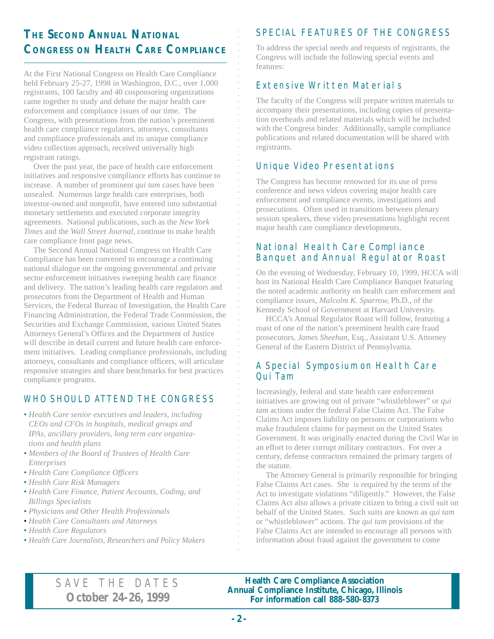## **THE SECOND ANNUAL NATIONAL CONGRESS ON HEALTH CARE COMPLIANCE**

At the First National Congress on Health Care Compliance held February 25-27, 1998 in Washington, D.C., over 1,000 registrants, 100 faculty and 40 cosponsoring organizations came together to study and debate the major health care enforcement and compliance issues of our time. The Congress, with presentations from the nation's preeminent health care compliance regulators, attorneys, consultants and compliance professionals and its unique compliance video collection approach, received universally high registrant ratings.

Over the past year, the pace of health care enforcement initiatives and responsive compliance efforts has continue to increase. A number of prominent *qui tam* cases have been unsealed. Numerous large health care enterprises, both investor-owned and nonprofit, have entered into substantial monetary settlements and executed corporate integrity agreements. National publications, such as the *New York Times* and the *Wall Street Journal,* continue to make health care compliance front page news.

The Second Annual National Congress on Health Care Compliance has been convened to encourage a continuing national dialogue on the ongoing governmental and private sector enforcement initiatives sweeping health care finance and delivery. The nation's leading health care regulators and prosecutors from the Department of Health and Human Services, the Federal Bureau of Investigation, the Health Care Financing Administration, the Federal Trade Commission, the Securities and Exchange Commission, various United States Attorneys General's Offices and the Department of Justice will describe in detail current and future health care enforcement initiatives. Leading compliance professionals, including attorneys, consultants and compliance officers, will articulate responsive strategies and share benchmarks for best practices compliance programs.

## WHO SHOULD ATTEND THE CONGRESS

- *• Health Care senior executives and leaders, including CEOs and CFOs in hospitals, medical groups and IPAs, ancillary providers, long term care organizations and health plans*
- *• Members of the Board of Trustees of Health Care Enterprises*
- *• Health Care Compliance Officers*
- *• Health Care Risk Managers*
- *• Health Care Finance, Patient Accounts, Coding, and Billings Specialists*
- *• Physicians and Other Health Professionals*
- *• Health Care Consultants and Attorneys*
- *• Health Care Regulators*
- *• Health Care Journalists, Researchers and Policy Makers*

## SPECIAL FEATURES OF THE CONGRESS

To address the special needs and requests of registrants, the Congress will include the following special events and features:

## Extensive Written Materials

aaaaaaaaaaaaaaaaaaaaaa

The faculty of the Congress will prepare written materials to accompany their presentations, including copies of presentation overheads and related materials which will be included with the Congress binder. Additionally, sample compliance publications and related documentation will be shared with registrants.

## Unique Video Presentations

The Congress has become renowned for its use of press conference and news videos covering major health care enforcement and compliance events, investigations and prosecutions. Often used in transitions between plenary session speakers, these video presentations highlight recent major health care compliance developments.

## National Health Care Compliance Banquet and Annual Regulator Roast

On the evening of Wednesday, February 10, 1999, HCCA will host its National Health Care Compliance Banquet featuring the noted academic authority on health care enforcement and compliance issues, *Malcolm K. Sparrow,* Ph.D., of the Kennedy School of Government at Harvard University.

HCCA's Annual Regulator Roast will follow, featuring a roast of one of the nation's preeminent health care fraud prosecutors, *James Sheehan,* Esq., Assistant U.S. Attorney General of the Eastern District of Pennsylvania.

## A Special Symposium on Health Care Qui Tam

Increasingly, federal and state health care enforcement initiatives are growing out of private "whistleblower" or *qui tam* actions under the federal False Claims Act. The False Claims Act imposes liability on persons or corporations who make fraudulent claims for payment on the United States Government. It was originally enacted during the Civil War in an effort to deter corrupt military contractors. For over a century, defense contractors remained the primary targets of the statute.

The Attorney General is primarily responsible for bringing False Claims Act cases. She is required by the terms of the Act to investigate violations "diligently." However, the False Claims Act also allows a private citizen to bring a civil suit on behalf of the United States. Such suits are known as *qui tam* or "whistleblower" actions. The *qui tam* provisions of the False Claims Act are intended to encourage all persons with information about fraud against the government to come

## SAVE THE DATES **October 24-26, 1999**

**Health Care Compliance Association Annual Compliance Institute, Chicago, Illinois For information call 888-580-8373**

aaaaaaaaaaaaaaaaaaaaaaaaaaaaaaaaaaaaaaaaaaaaaaaaaaaaaaaaaaaa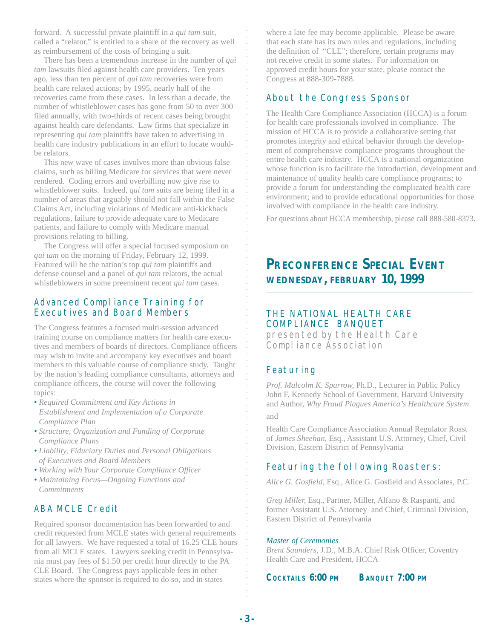forward. A successful private plaintiff in a *qui tam* suit, called a "relator," is entitled to a share of the recovery as well as reimbursement of the costs of bringing a suit.

There has been a tremendous increase in the number of *qui tam* lawsuits filed against health care providers. Ten years ago, less than ten percent of *qui tam* recoveries were from health care related actions; by 1995, nearly half of the recoveries came from these cases. In less than a decade, the number of whistleblower cases has gone from 50 to over 300 filed annually, with two-thirds of recent cases being brought against health care defendants. Law firms that specialize in representing *qui tam* plaintiffs have taken to advertising in health care industry publications in an effort to locate wouldbe relators.

This new wave of cases involves more than obvious false claims, such as billing Medicare for services that were never rendered. Coding errors and overbilling now give rise to whistleblower suits. Indeed, *qui tam* suits are being filed in a number of areas that arguably should not fall within the False Claims Act, including violations of Medicare anti-kickback regulations, failure to provide adequate care to Medicare patients, and failure to comply with Medicare manual provisions relating to billing.

The Congress will offer a special focused symposium on *qui tam* on the morning of Friday, February 12, 1999. Featured will be the nation's top *qui tam* plaintiffs and defense counsel and a panel of *qui tam* relators, the actual whistleblowers in some preeminent recent *qui tam* cases.

#### Advanced Compliance Training for Executives and Board Members

The Congress features a focused multi-session advanced training course on compliance matters for health care executives and members of boards of directors. Compliance officers may wish to invite and accompany key executives and board members to this valuable course of compliance study. Taught by the nation's leading compliance consultants, attorneys and compliance officers, the course will cover the following topics:

- *Required Commitment and Key Actions in Establishment and Implementation of a Corporate Compliance Plan*
- *• Structure, Organization and Funding of Corporate Compliance Plans*
- *• Liability, Fiduciary Duties and Personal Obligations of Executives and Board Members*
- *• Working with Your Corporate Compliance Officer*
- *• Maintaining Focus—Ongoing Functions and Commitments*

## ABA MCLE Credit

Required sponsor documentation has been forwarded to and credit requested from MCLE states with general requirements for all lawyers. We have requested a total of 16.25 CLE hours from all MCLE states. Lawyers seeking credit in Pennsylvania must pay fees of \$1.50 per credit hour directly to the PA CLE Board. The Congress pays applicable fees in other states where the sponsor is required to do so, and in states

where a late fee may become applicable. Please be aware that each state has its own rules and regulations, including the definition of "CLE"; therefore, certain programs may not receive credit in some states. For information on approved credit hours for your state, please contact the Congress at 888-309-7888.

#### About the Congress Sponsor

The Health Care Compliance Association (HCCA) is a forum for health care professionals involved in compliance. The mission of HCCA is to provide a collaborative setting that promotes integrity and ethical behavior through the development of comprehensive compliance programs throughout the entire health care industry. HCCA is a national organization whose function is to facilitate the introduction, development and maintenance of quality health care compliance programs; to provide a forum for understanding the complicated health care environment; and to provide educational opportunities for those involved with compliance in the health care industry.

For questions about HCCA membership, please call 888-580-8373.

## **PRECONFERENCE SPECIAL EVENT WEDNESDAY, FEBRUARY 10, 1999**

### THE NATIONAL HEALTH CARE COMPLIANCE BANQUET

presented by the Health Care Compliance Association

### Featuring

aaaaaaaaaaaaaaaaaaaaaaaaaaaaaaaaaaaaaaaaaa

*Prof. Malcolm K. Sparrow,* Ph.D., Lecturer in Public Policy John F. Kennedy School of Government, Harvard University and Author, *Why Fraud Plagues America's Healthcare System* and

Health Care Compliance Association Annual Regulator Roast of *James Sheehan,* Esq., Assistant U.S. Attorney, Chief, Civil Division, Eastern District of Pennsylvania

## Featuring the following Roasters:

*Alice G. Gosfield,* Esq., Alice G. Gosfield and Associates, P.C.

*Greg Miller,* Esq., Partner, Miller, Alfano & Raspanti, and former Assistant U.S. Attorney and Chief, Criminal Division, Eastern District of Pennsylvania

#### *Master of Ceremonies*

*Brent Saunders,* J.D., M.B.A. Chief Risk Officer, Coventry Health Care and President, HCCA

**COCKTAILS 6:00 PM BANQUET 7:00 PM**

aaaaaaaaaaaaaaaaaaaaaaaaaaaaaaaaaaaaaaaaaaaaaaa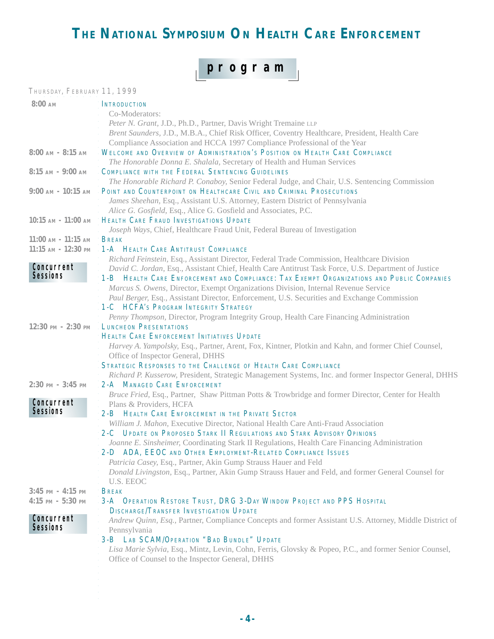# THE NATIONAL SYMPOSIUM ON HEALTH CARE ENFORCEMENT

# **program**

| THURSDAY, FEBRUARY 11, 1999              |                                                                                                         |
|------------------------------------------|---------------------------------------------------------------------------------------------------------|
| $8:00$ AM                                | <b>INTRODUCTION</b>                                                                                     |
|                                          | Co-Moderators:                                                                                          |
|                                          | Peter N. Grant, J.D., Ph.D., Partner, Davis Wright Tremaine LLP                                         |
|                                          | Brent Saunders, J.D., M.B.A., Chief Risk Officer, Coventry Healthcare, President, Health Care           |
|                                          | Compliance Association and HCCA 1997 Compliance Professional of the Year                                |
| $8:00$ AM - $8:15$ AM                    | WELCOME AND OVERVIEW OF ADMINISTRATION'S POSITION ON HEALTH CARE COMPLIANCE                             |
|                                          | The Honorable Donna E. Shalala, Secretary of Health and Human Services                                  |
| $8:15$ AM - $9:00$ AM                    | <b>COMPLIANCE WITH THE FEDERAL SENTENCING GUIDELINES</b>                                                |
|                                          | The Honorable Richard P. Conaboy, Senior Federal Judge, and Chair, U.S. Sentencing Commission           |
|                                          | 9:00 AM - 10:15 AM POINT AND COUNTERPOINT ON HEALTHCARE CIVIL AND CRIMINAL PROSECUTIONS                 |
|                                          | James Sheehan, Esq., Assistant U.S. Attorney, Eastern District of Pennsylvania                          |
|                                          | Alice G. Gosfield, Esq., Alice G. Gosfield and Associates, P.C.                                         |
| $10:15$ am - $11:00$ am                  | <b>HEALTH CARE FRAUD INVESTIGATIONS UPDATE</b>                                                          |
|                                          | Joseph Ways, Chief, Healthcare Fraud Unit, Federal Bureau of Investigation                              |
| $11:00$ AM - $11:15$ AM                  | <b>BREAK</b>                                                                                            |
| $11:15$ AM - $12:30$ PM                  | <b>1-A HEALTH CARE ANTITRUST COMPLIANCE</b>                                                             |
|                                          | Richard Feinstein, Esq., Assistant Director, Federal Trade Commission, Healthcare Division              |
| Concurrent                               | David C. Jordan, Esq., Assistant Chief, Health Care Antitrust Task Force, U.S. Department of Justice    |
| <b>Sessions</b>                          | <sup>1</sup> 1-B HEALTH CARE ENFORCEMENT AND COMPLIANCE: TAX EXEMPT ORGANIZATIONS AND PUBLIC COMPANIES  |
|                                          | Marcus S. Owens, Director, Exempt Organizations Division, Internal Revenue Service                      |
|                                          | Paul Berger, Esq., Assistant Director, Enforcement, U.S. Securities and Exchange Commission             |
|                                          | 1-C HCFA's PROGRAM INTEGRITY STRATEGY                                                                   |
|                                          | Penny Thompson, Director, Program Integrity Group, Health Care Financing Administration                 |
| $12:30 \text{ }$ PM - $2:30 \text{ }$ PM | <b>LUNCHEON PRESENTATIONS</b>                                                                           |
|                                          | <b>HEALTH CARE ENFORCEMENT INITIATIVES UPDATE</b>                                                       |
|                                          | Harvey A. Yampolsky, Esq., Partner, Arent, Fox, Kintner, Plotkin and Kahn, and former Chief Counsel,    |
|                                          | Office of Inspector General, DHHS                                                                       |
|                                          | <b>STRATEGIC RESPONSES TO THE CHALLENGE OF HEALTH CARE COMPLIANCE</b>                                   |
|                                          | Richard P. Kusserow, President, Strategic Management Systems, Inc. and former Inspector General, DHHS   |
| $2:30$ PM - $3:45$ PM                    | <b>2-A MANAGED CARE ENFORCEMENT</b>                                                                     |
|                                          | Bruce Fried, Esq., Partner, Shaw Pittman Potts & Trowbridge and former Director, Center for Health      |
| Concurrent                               | Plans & Providers, HCFA                                                                                 |
| Sessions                                 | 2-B HEALTH CARE ENFORCEMENT IN THE PRIVATE SECTOR                                                       |
|                                          | William J. Mahon, Executive Director, National Health Care Anti-Fraud Association                       |
|                                          | 2-C UPDATE ON PROPOSED STARK II REGULATIONS AND STARK ADVISORY OPINIONS                                 |
|                                          | Joanne E. Sinsheimer, Coordinating Stark II Regulations, Health Care Financing Administration           |
|                                          | 2-D ADA, EEOC AND OTHER EMPLOYMENT-RELATED COMPLIANCE ISSUES                                            |
|                                          | Patricia Casey, Esq., Partner, Akin Gump Strauss Hauer and Feld                                         |
|                                          | Donald Livingston, Esq., Partner, Akin Gump Strauss Hauer and Feld, and former General Counsel for      |
|                                          | U.S. EEOC                                                                                               |
| $3:45$ PM - $4:15$ PM                    | <b>BREAK</b>                                                                                            |
| $4:15$ PM - $5:30$ PM                    | 3-A OPERATION RESTORE TRUST, DRG 3-DAY WINDOW PROJECT AND PPS HOSPITAL                                  |
| Concurrent                               | <b>DISCHARGE/TRANSFER INVESTIGATION UPDATE</b>                                                          |
| Sessions                                 | Andrew Quinn, Esq., Partner, Compliance Concepts and former Assistant U.S. Attorney, Middle District of |
|                                          | Pennsylvania                                                                                            |
|                                          | <b>3-B LAB SCAM/OPERATION "BAD BUNDLE" UPDATE</b>                                                       |
|                                          | Lisa Marie Sylvia, Esq., Mintz, Levin, Cohn, Ferris, Glovsky & Popeo, P.C., and former Senior Counsel,  |
|                                          | Office of Counsel to the Inspector General, DHHS                                                        |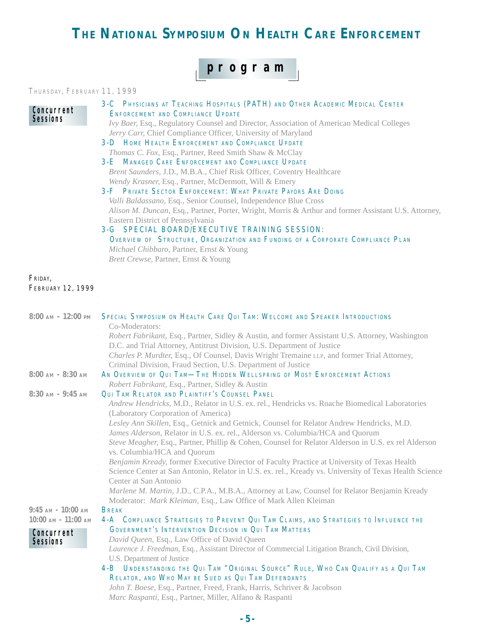# **THE NATIONAL SYMPOSIUM ON HEALTH CARE ENFORCEMENT**

**program**

#### THURSDAY, FEBRUARY 11, 1999

| Concurrent               | 3-C PHYSICIANS AT TEACHING HOSPITALS (PATH) AND OTHER ACADEMIC MEDICAL CENTER                                                    |  |  |
|--------------------------|----------------------------------------------------------------------------------------------------------------------------------|--|--|
| <b>Sessions</b>          | <b>ENFORCEMENT AND COMPLIANCE UPDATE</b>                                                                                         |  |  |
|                          | Ivy Baer, Esq., Regulatory Counsel and Director, Association of American Medical Colleges                                        |  |  |
|                          | Jerry Carr, Chief Compliance Officer, University of Maryland<br><b>3-D HOME HEALTH ENFORCEMENT AND COMPLIANCE UPDATE</b>         |  |  |
|                          |                                                                                                                                  |  |  |
|                          | Thomas C. Fox, Esq., Partner, Reed Smith Shaw & McClay<br><b>3-E MANAGED CARE ENFORCEMENT AND COMPLIANCE UPDATE</b>              |  |  |
|                          | Brent Saunders, J.D., M.B.A., Chief Risk Officer, Coventry Healthcare                                                            |  |  |
|                          | Wendy Krasner, Esq., Partner, McDermott, Will & Emery                                                                            |  |  |
|                          | 3-F PRIVATE SECTOR ENFORCEMENT: WHAT PRIVATE PAYORS ARE DOING                                                                    |  |  |
|                          | Valli Baldassano, Esq., Senior Counsel, Independence Blue Cross                                                                  |  |  |
|                          | Alison M. Duncan, Esq., Partner, Porter, Wright, Morris & Arthur and former Assistant U.S. Attorney,                             |  |  |
|                          | Eastern District of Pennsylvania                                                                                                 |  |  |
|                          | 3-G SPECIAL BOARD/EXECUTIVE TRAINING SESSION:<br>OVERVIEW OF STRUCTURE, ORGANIZATION AND FUNDING OF A CORPORATE COMPLIANCE PLAN  |  |  |
|                          |                                                                                                                                  |  |  |
|                          | Michael Chibbaro, Partner, Ernst & Young                                                                                         |  |  |
|                          | Brett Crewse, Partner, Ernst & Young                                                                                             |  |  |
|                          |                                                                                                                                  |  |  |
| FRIDAY,                  |                                                                                                                                  |  |  |
| <b>FEBRUARY 12, 1999</b> |                                                                                                                                  |  |  |
|                          |                                                                                                                                  |  |  |
|                          | 8:00 AM - 12:00 PM SPECIAL SYMPOSIUM ON HEALTH CARE QUI TAM: WELCOME AND SPEAKER INTRODUCTIONS                                   |  |  |
|                          | Co-Moderators:                                                                                                                   |  |  |
|                          | Robert Fabrikant, Esq., Partner, Sidley & Austin, and former Assistant U.S. Attorney, Washington                                 |  |  |
|                          | D.C. and Trial Attorney, Antitrust Division, U.S. Department of Justice                                                          |  |  |
|                          | Charles P. Murdter, Esq., Of Counsel, Davis Wright Tremaine LLP, and former Trial Attorney,                                      |  |  |
|                          | Criminal Division, Fraud Section, U.S. Department of Justice                                                                     |  |  |
| $8:00$ AM - $8:30$ AM    | AN OVERVIEW OF QUI TAM-THE HIDDEN WELLSPRING OF MOST ENFORCEMENT ACTIONS                                                         |  |  |
|                          | Robert Fabrikant, Esq., Partner, Sidley & Austin                                                                                 |  |  |
| $8:30$ AM - $9:45$ AM    | QUI TAM RELATOR AND PLAINTIFF'S COUNSEL PANEL                                                                                    |  |  |
|                          | Andrew Hendricks, M.D., Relator in U.S. ex. rel., Hendricks vs. Roache Biomedical Laboratories                                   |  |  |
|                          | (Laboratory Corporation of America)<br>Lesley Ann Skillen, Esq., Getnick and Getnick, Counsel for Relator Andrew Hendricks, M.D. |  |  |
|                          | James Alderson, Relator in U.S. ex. rel., Alderson vs. Columbia/HCA and Quorum                                                   |  |  |
|                          | Steve Meagher, Esq., Partner, Phillip & Cohen, Counsel for Relator Alderson in U.S. ex rel Alderson                              |  |  |
|                          | vs. Columbia/HCA and Quorum                                                                                                      |  |  |
|                          | Benjamin Kready, former Executive Director of Faculty Practice at University of Texas Health                                     |  |  |
|                          | Science Center at San Antonio, Relator in U.S. ex. rel., Kready vs. University of Texas Health Science                           |  |  |
|                          | Center at San Antonio                                                                                                            |  |  |
|                          | Marlene M. Martin, J.D., C.P.A., M.B.A., Attorney at Law, Counsel for Relator Benjamin Kready                                    |  |  |
|                          | Moderator: Mark Kleiman, Esq., Law Office of Mark Allen Kleiman                                                                  |  |  |
| $9:45$ AM - $10:00$ AM   | <b>BREAK</b>                                                                                                                     |  |  |
| $10:00$ AM - $11:00$ AM  | 4-A COMPLIANCE STRATEGIES TO PREVENT QUI TAM CLAIMS, AND STRATEGIES TO INFLUENCE THE                                             |  |  |
| Concurrent               | <b>GOVERNMENT'S INTERVENTION DECISION IN QUI TAM MATTERS</b>                                                                     |  |  |
| Sessions                 | David Queen, Esq., Law Office of David Queen                                                                                     |  |  |
|                          | Laurence J. Freedman, Esq., Assistant Director of Commercial Litigation Branch, Civil Division,                                  |  |  |
|                          | U.S. Department of Justice<br>4-B UNDERSTANDING THE QUI TAM "ORIGINAL SOURCE" RULE, WHO CAN QUALIFY AS A QUI TAM                 |  |  |
|                          | RELATOR, AND WHO MAY BE SUED AS QUI TAM DEFENDANTS                                                                               |  |  |
|                          | John T. Boese, Esq., Partner, Freed, Frank, Harris, Schriver & Jacobson                                                          |  |  |
|                          | Marc Raspanti, Esq., Partner, Miller, Alfano & Raspanti                                                                          |  |  |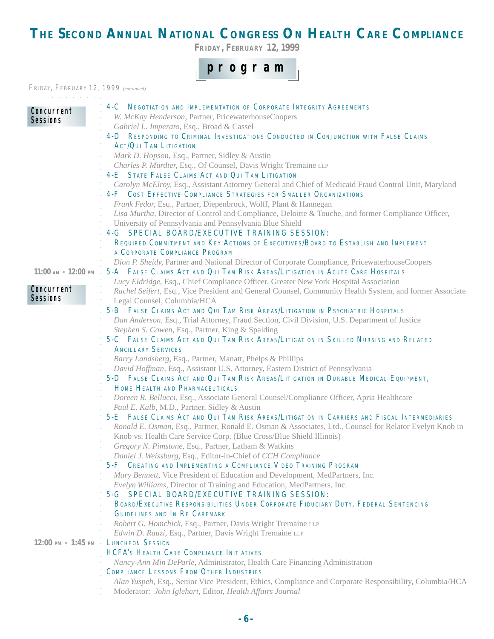# **THE SECOND ANNUAL NATIONAL CONGRESS ON HEALTH CARE COMPLIANCE**

**FRIDAY, FEBRUARY 12, 1999**

## **program**

#### FRIDAY, FEBRUARY 12, 1999 *(continued)*

| and a state of the state of the |                                                                                                                                   |
|---------------------------------|-----------------------------------------------------------------------------------------------------------------------------------|
| Concurrent                      | 4-C NEGOTIATION AND IMPLEMENTATION OF CORPORATE INTEGRITY AGREEMENTS                                                              |
| Sessions                        | W. McKay Henderson, Partner, PricewaterhouseCoopers                                                                               |
|                                 | Gabriel L. Imperato, Esq., Broad & Cassel                                                                                         |
|                                 | 4-D RESPONDING TO CRIMINAL INVESTIGATIONS CONDUCTED IN CONJUNCTION WITH FALSE CLAIMS                                              |
|                                 | <b>ACT/QUI TAM LITIGATION</b>                                                                                                     |
|                                 | Mark D. Hopson, Esq., Partner, Sidley & Austin                                                                                    |
|                                 | Charles P. Murdter, Esq., Of Counsel, Davis Wright Tremaine LLP                                                                   |
|                                 | 4-E STATE FALSE CLAIMS ACT AND QUI TAM LITIGATION                                                                                 |
|                                 | Carolyn McElroy, Esq., Assistant Attorney General and Chief of Medicaid Fraud Control Unit, Maryland                              |
|                                 | <b>4-F COST EFFECTIVE COMPLIANCE STRATEGIES FOR SMALLER ORGANIZATIONS</b>                                                         |
|                                 | Frank Fedor, Esq., Partner, Diepenbrock, Wolff, Plant & Hannegan                                                                  |
|                                 | Lisa Murtha, Director of Control and Compliance, Deloitte & Touche, and former Compliance Officer,                                |
|                                 | University of Pennsylvania and Pennsylvania Blue Shield<br>4-G SPECIAL BOARD/EXECUTIVE TRAINING SESSION:                          |
|                                 | REQUIRED COMMITMENT AND KEY ACTIONS OF EXECUTIVES/BOARD TO ESTABLISH AND IMPLEMENT                                                |
|                                 | A CORPORATE COMPLIANCE PROGRAM                                                                                                    |
|                                 | Dion P. Sheidy, Partner and National Director of Corporate Compliance, PricewaterhouseCoopers                                     |
|                                 | 11:00 AM - 12:00 PM - 5-A FALSE CLAIMS ACT AND QUI TAM RISK AREAS/LITIGATION IN ACUTE CARE HOSPITALS                              |
|                                 | Lucy Eldridge, Esq., Chief Compliance Officer, Greater New York Hospital Association                                              |
| Concurrent                      | Rachel Seifert, Esq., Vice President and General Counsel, Community Health System, and former Associate                           |
| Sessions                        | Legal Counsel, Columbia/HCA                                                                                                       |
|                                 | 5-B FALSE CLAIMS ACT AND QUI TAM RISK AREAS/LITIGATION IN PSYCHIATRIC HOSPITALS                                                   |
|                                 | Dan Anderson, Esq., Trial Attorney, Fraud Section, Civil Division, U.S. Department of Justice                                     |
|                                 | Stephen S. Cowen, Esq., Partner, King & Spalding                                                                                  |
|                                 | 5-C FALSE CLAIMS ACT AND QUI TAM RISK AREAS/LITIGATION IN SKILLED NURSING AND RELATED                                             |
|                                 | <b>ANCILLARY SERVICES</b>                                                                                                         |
|                                 | Barry Landsberg, Esq., Partner, Manatt, Phelps & Phillips                                                                         |
|                                 | David Hoffman, Esq., Assistant U.S. Attorney, Eastern District of Pennsylvania                                                    |
|                                 | 5-D FALSE CLAIMS ACT AND QUI TAM RISK AREAS/LITIGATION IN DURABLE MEDICAL EQUIPMENT,                                              |
|                                 | HOME HEALTH AND PHARMACEUTICALS                                                                                                   |
|                                 | Doreen R. Bellucci, Esq., Associate General Counsel/Compliance Officer, Apria Healthcare                                          |
|                                 | Paul E. Kalb, M.D., Partner, Sidley & Austin                                                                                      |
|                                 | 5-E FALSE CLAIMS ACT AND QUI TAM RISK AREAS/LITIGATION IN CARRIERS AND FISCAL INTERMEDIARIES                                      |
|                                 | Ronald E. Osman, Esq., Partner, Ronald E. Osman & Associates, Ltd., Counsel for Relator Evelyn Knob in                            |
|                                 | Knob vs. Health Care Service Corp. (Blue Cross/Blue Shield Illinois)                                                              |
|                                 | Gregory N. Pimstone, Esq., Partner, Latham & Watkins                                                                              |
|                                 | Daniel J. Weissburg, Esq., Editor-in-Chief of CCH Compliance<br>5-F CREATING AND IMPLEMENTING A COMPLIANCE VIDEO TRAINING PROGRAM |
|                                 | Mary Bennett, Vice President of Education and Development, MedPartners, Inc.                                                      |
|                                 | Evelyn Williams, Director of Training and Education, MedPartners, Inc.                                                            |
|                                 | 5-G SPECIAL BOARD/EXECUTIVE TRAINING SESSION:                                                                                     |
|                                 | BOARD/EXECUTIVE RESPONSIBILITIES UNDER CORPORATE FIDUCIARY DUTY, FEDERAL SENTENCING                                               |
|                                 | <b>GUIDELINES AND IN RE CAREMARK</b>                                                                                              |
|                                 | Robert G. Homchick, Esq., Partner, Davis Wright Tremaine LLP                                                                      |
|                                 | Edwin D. Rauzi, Esq., Partner, Davis Wright Tremaine LLP                                                                          |
|                                 | 12:00 PM - 1:45 PM · LUNCHEON SESSION                                                                                             |
|                                 | <b>HCFA's HEALTH CARE COMPLIANCE INITIATIVES</b>                                                                                  |
|                                 | Nancy-Ann Min DeParle, Administrator, Health Care Financing Administration                                                        |
|                                 | <b>COMPLIANCE LESSONS FROM OTHER INDUSTRIES</b>                                                                                   |
|                                 | Alan Yuspeh, Esq., Senior Vice President, Ethics, Compliance and Corporate Responsibility, Columbia/HCA                           |
|                                 | Moderator: John Iglehart, Editor, Health Affairs Journal                                                                          |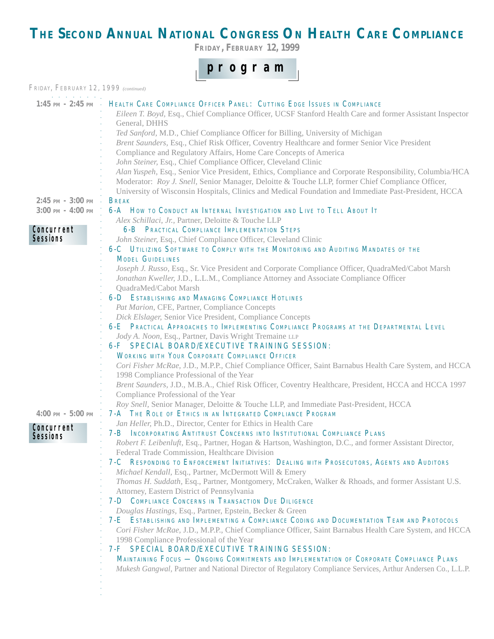# **THE SECOND ANNUAL NATIONAL CONGRESS ON HEALTH CARE COMPLIANCE**

**FRIDAY, FEBRUARY 12, 1999**



 $\overline{\phantom{a}}$ 

 $\mathbf{I}$ 

| FRIDAY, FEBRUARY 12, 1999 (continued) |                                                                                                                                                                                                                                                                                                                                                                                                                                                                                                                                 |
|---------------------------------------|---------------------------------------------------------------------------------------------------------------------------------------------------------------------------------------------------------------------------------------------------------------------------------------------------------------------------------------------------------------------------------------------------------------------------------------------------------------------------------------------------------------------------------|
| $1:45$ PM - $2:45$ PM $\cdot$         | HEALTH CARE COMPLIANCE OFFICER PANEL: CUTTING EDGE ISSUES IN COMPLIANCE<br>Eileen T. Boyd, Esq., Chief Compliance Officer, UCSF Stanford Health Care and former Assistant Inspector<br>General, DHHS<br>Ted Sanford, M.D., Chief Compliance Officer for Billing, University of Michigan<br>Brent Saunders, Esq., Chief Risk Officer, Coventry Healthcare and former Senior Vice President<br>Compliance and Regulatory Affairs, Home Care Concepts of America<br>John Steiner, Esq., Chief Compliance Officer, Cleveland Clinic |
|                                       | Alan Yuspeh, Esq., Senior Vice President, Ethics, Compliance and Corporate Responsibility, Columbia/HCA<br>Moderator: Roy J. Snell, Senior Manager, Deloitte & Touche LLP, former Chief Compliance Officer,<br>University of Wisconsin Hospitals, Clinics and Medical Foundation and Immediate Past-President, HCCA                                                                                                                                                                                                             |
| $2:45$ PM - $3:00$ PM                 | <b>BREAK</b>                                                                                                                                                                                                                                                                                                                                                                                                                                                                                                                    |
| $3:00$ PM - $4:00$ PM                 | 6-A How to CONDUCT AN INTERNAL INVESTIGATION AND LIVE TO TELL ABOUT IT                                                                                                                                                                                                                                                                                                                                                                                                                                                          |
|                                       | Alex Schillaci, Jr., Partner, Deloitte & Touche LLP                                                                                                                                                                                                                                                                                                                                                                                                                                                                             |
| Concurrent                            | <b>6-B PRACTICAL COMPLIANCE IMPLEMENTATION STEPS</b>                                                                                                                                                                                                                                                                                                                                                                                                                                                                            |
| <b>Sessions</b>                       | John Steiner, Esq., Chief Compliance Officer, Cleveland Clinic                                                                                                                                                                                                                                                                                                                                                                                                                                                                  |
|                                       | 6-C UTILIZING SOFTWARE TO COMPLY WITH THE MONITORING AND AUDITING MANDATES OF THE                                                                                                                                                                                                                                                                                                                                                                                                                                               |
|                                       | <b>MODEL GUIDELINES</b>                                                                                                                                                                                                                                                                                                                                                                                                                                                                                                         |
|                                       | Joseph J. Russo, Esq., Sr. Vice President and Corporate Compliance Officer, QuadraMed/Cabot Marsh<br>Jonathan Kweller, J.D., L.L.M., Compliance Attorney and Associate Compliance Officer<br>QuadraMed/Cabot Marsh                                                                                                                                                                                                                                                                                                              |
|                                       | <b>6-D ESTABLISHING AND MANAGING COMPLIANCE HOTLINES</b>                                                                                                                                                                                                                                                                                                                                                                                                                                                                        |
|                                       | Pat Marion, CFE, Partner, Compliance Concepts                                                                                                                                                                                                                                                                                                                                                                                                                                                                                   |
|                                       | Dick Elslager, Senior Vice President, Compliance Concepts                                                                                                                                                                                                                                                                                                                                                                                                                                                                       |
|                                       | 6-E PRACTICAL APPROACHES TO IMPLEMENTING COMPLIANCE PROGRAMS AT THE DEPARTMENTAL LEVEL                                                                                                                                                                                                                                                                                                                                                                                                                                          |
|                                       | Jody A. Noon, Esq., Partner, Davis Wright Tremaine LLP                                                                                                                                                                                                                                                                                                                                                                                                                                                                          |
|                                       | 6-F SPECIAL BOARD/EXECUTIVE TRAINING SESSION:                                                                                                                                                                                                                                                                                                                                                                                                                                                                                   |
|                                       | <b>WORKING WITH YOUR CORPORATE COMPLIANCE OFFICER</b>                                                                                                                                                                                                                                                                                                                                                                                                                                                                           |
|                                       | Cori Fisher McRae, J.D., M.P.P., Chief Compliance Officer, Saint Barnabus Health Care System, and HCCA<br>1998 Compliance Professional of the Year                                                                                                                                                                                                                                                                                                                                                                              |
|                                       | Brent Saunders, J.D., M.B.A., Chief Risk Officer, Coventry Healthcare, President, HCCA and HCCA 1997<br>Compliance Professional of the Year                                                                                                                                                                                                                                                                                                                                                                                     |
|                                       | Roy Snell, Senior Manager, Deloitte & Touche LLP, and Immediate Past-President, HCCA                                                                                                                                                                                                                                                                                                                                                                                                                                            |
| $4:00 \text{ PM} - 5:00 \text{ PM}$   | 7-A THE ROLE OF ETHICS IN AN INTEGRATED COMPLIANCE PROGRAM                                                                                                                                                                                                                                                                                                                                                                                                                                                                      |
|                                       | Jan Heller, Ph.D., Director, Center for Ethics in Health Care                                                                                                                                                                                                                                                                                                                                                                                                                                                                   |
| Concurrent                            | 7-B INCORPORATING ANTITRUST CONCERNS INTO INSTITUTIONAL COMPLIANCE PLANS                                                                                                                                                                                                                                                                                                                                                                                                                                                        |
| Sessions                              | Robert F. Leibenluft, Esq., Partner, Hogan & Hartson, Washington, D.C., and former Assistant Director,                                                                                                                                                                                                                                                                                                                                                                                                                          |
|                                       | Federal Trade Commission, Healthcare Division                                                                                                                                                                                                                                                                                                                                                                                                                                                                                   |
|                                       | 7-C RESPONDING TO ENFORCEMENT INITIATIVES: DEALING WITH PROSECUTORS, AGENTS AND AUDITORS                                                                                                                                                                                                                                                                                                                                                                                                                                        |
|                                       | Michael Kendall, Esq., Partner, McDermott Will & Emery                                                                                                                                                                                                                                                                                                                                                                                                                                                                          |
|                                       | Thomas H. Suddath, Esq., Partner, Montgomery, McCraken, Walker & Rhoads, and former Assistant U.S.                                                                                                                                                                                                                                                                                                                                                                                                                              |
|                                       | Attorney, Eastern District of Pennsylvania                                                                                                                                                                                                                                                                                                                                                                                                                                                                                      |
|                                       | <b>7-D COMPLIANCE CONCERNS IN TRANSACTION DUE DILIGENCE</b>                                                                                                                                                                                                                                                                                                                                                                                                                                                                     |
|                                       | Douglas Hastings, Esq., Partner, Epstein, Becker & Green                                                                                                                                                                                                                                                                                                                                                                                                                                                                        |
|                                       | 7-E ESTABLISHING AND IMPLEMENTING A COMPLIANCE CODING AND DOCUMENTATION TEAM AND PROTOCOLS                                                                                                                                                                                                                                                                                                                                                                                                                                      |
|                                       | Cori Fisher McRae, J.D., M.P.P., Chief Compliance Officer, Saint Barnabus Health Care System, and HCCA                                                                                                                                                                                                                                                                                                                                                                                                                          |
|                                       | 1998 Compliance Professional of the Year                                                                                                                                                                                                                                                                                                                                                                                                                                                                                        |
|                                       | 7-F SPECIAL BOARD/EXECUTIVE TRAINING SESSION:                                                                                                                                                                                                                                                                                                                                                                                                                                                                                   |
|                                       | MAINTAINING FOCUS - ONGOING COMMITMENTS AND IMPLEMENTATION OF CORPORATE COMPLIANCE PLANS                                                                                                                                                                                                                                                                                                                                                                                                                                        |
|                                       | Mukesh Gangwal, Partner and National Director of Regulatory Compliance Services, Arthur Andersen Co., L.L.P.                                                                                                                                                                                                                                                                                                                                                                                                                    |
|                                       |                                                                                                                                                                                                                                                                                                                                                                                                                                                                                                                                 |
|                                       |                                                                                                                                                                                                                                                                                                                                                                                                                                                                                                                                 |
|                                       |                                                                                                                                                                                                                                                                                                                                                                                                                                                                                                                                 |